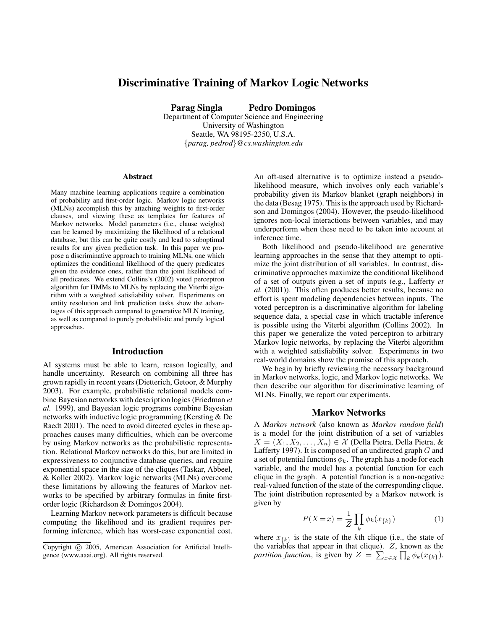# **Discriminative Training of Markov Logic Networks**

**Parag Singla Pedro Domingos**

Department of Computer Science and Engineering University of Washington Seattle, WA 98195-2350, U.S.A. {*parag, pedrod*}*@cs.washington.edu*

#### **Abstract**

Many machine learning applications require a combination of probability and first-order logic. Markov logic networks (MLNs) accomplish this by attaching weights to first-order clauses, and viewing these as templates for features of Markov networks. Model parameters (i.e., clause weights) can be learned by maximizing the likelihood of a relational database, but this can be quite costly and lead to suboptimal results for any given prediction task. In this paper we propose a discriminative approach to training MLNs, one which optimizes the conditional likelihood of the query predicates given the evidence ones, rather than the joint likelihood of all predicates. We extend Collins's (2002) voted perceptron algorithm for HMMs to MLNs by replacing the Viterbi algorithm with a weighted satisfiability solver. Experiments on entity resolution and link prediction tasks show the advantages of this approach compared to generative MLN training, as well as compared to purely probabilistic and purely logical approaches.

#### **Introduction**

AI systems must be able to learn, reason logically, and handle uncertainty. Research on combining all three has grown rapidly in recent years (Dietterich, Getoor, & Murphy 2003). For example, probabilistic relational models combine Bayesian networks with description logics (Friedman *et al.* 1999), and Bayesian logic programs combine Bayesian networks with inductive logic programming (Kersting & De Raedt 2001). The need to avoid directed cycles in these approaches causes many difficulties, which can be overcome by using Markov networks as the probabilistic representation. Relational Markov networks do this, but are limited in expressiveness to conjunctive database queries, and require exponential space in the size of the cliques (Taskar, Abbeel, & Koller 2002). Markov logic networks (MLNs) overcome these limitations by allowing the features of Markov networks to be specified by arbitrary formulas in finite firstorder logic (Richardson & Domingos 2004).

Learning Markov network parameters is difficult because computing the likelihood and its gradient requires performing inference, which has worst-case exponential cost.

An oft-used alternative is to optimize instead a pseudolikelihood measure, which involves only each variable's probability given its Markov blanket (graph neighbors) in the data (Besag 1975). This is the approach used by Richardson and Domingos (2004). However, the pseudo-likelihood ignores non-local interactions between variables, and may underperform when these need to be taken into account at inference time.

Both likelihood and pseudo-likelihood are generative learning approaches in the sense that they attempt to optimize the joint distribution of all variables. In contrast, discriminative approaches maximize the conditional likelihood of a set of outputs given a set of inputs (e.g., Lafferty *et al.* (2001)). This often produces better results, because no effort is spent modeling dependencies between inputs. The voted perceptron is a discriminative algorithm for labeling sequence data, a special case in which tractable inference is possible using the Viterbi algorithm (Collins 2002). In this paper we generalize the voted perceptron to arbitrary Markov logic networks, by replacing the Viterbi algorithm with a weighted satisfiability solver. Experiments in two real-world domains show the promise of this approach.

We begin by briefly reviewing the necessary background in Markov networks, logic, and Markov logic networks. We then describe our algorithm for discriminative learning of MLNs. Finally, we report our experiments.

### **Markov Networks**

A *Markov network* (also known as *Markov random field*) is a model for the joint distribution of a set of variables  $X = (X_1, X_2, \ldots, X_n) \in \mathcal{X}$  (Della Pietra, Della Pietra, & Lafferty 1997). It is composed of an undirected graph  $G$  and a set of potential functions  $\phi_k$ . The graph has a node for each variable, and the model has a potential function for each clique in the graph. A potential function is a non-negative real-valued function of the state of the corresponding clique. The joint distribution represented by a Markov network is given by

$$
P(X=x) = \frac{1}{Z} \prod_{k} \phi_k(x_{\{k\}})
$$
 (1)

where  $x_{\{k\}}$  is the state of the kth clique (i.e., the state of the variables that appear in that clique).  $Z$ , known as the *partition function*, is given by  $Z = \sum_{x \in \mathcal{X}} \prod_k \phi_k(x_{\{k\}})$ .

Copyright © 2005, American Association for Artificial Intelligence (www.aaai.org). All rights reserved.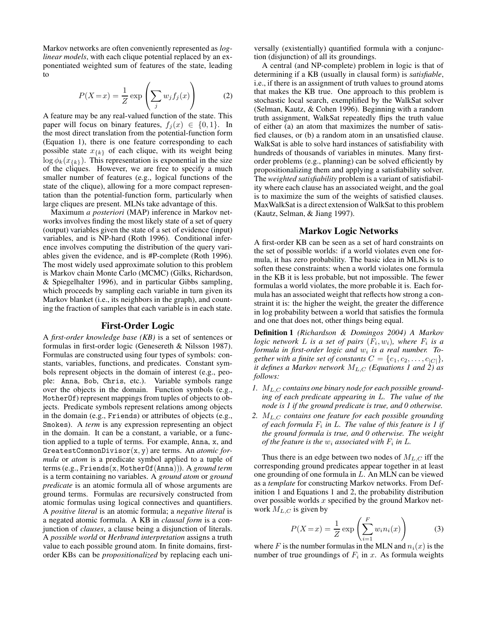Markov networks are often conveniently represented as *loglinear models*, with each clique potential replaced by an exponentiated weighted sum of features of the state, leading to

$$
P(X=x) = \frac{1}{Z} \exp\left(\sum_{j} w_j f_j(x)\right) \tag{2}
$$

A feature may be any real-valued function of the state. This paper will focus on binary features,  $f_i(x) \in \{0, 1\}$ . In the most direct translation from the potential-function form (Equation 1), there is one feature corresponding to each possible state  $x_{\{k\}}$  of each clique, with its weight being  $\log \phi_k(x_{\{k\}})$ . This representation is exponential in the size of the cliques. However, we are free to specify a much smaller number of features (e.g., logical functions of the state of the clique), allowing for a more compact representation than the potential-function form, particularly when large cliques are present. MLNs take advantage of this.

Maximum *a posteriori* (MAP) inference in Markov networks involves finding the most likely state of a set of query (output) variables given the state of a set of evidence (input) variables, and is NP-hard (Roth 1996). Conditional inference involves computing the distribution of the query variables given the evidence, and is #P-complete (Roth 1996). The most widely used approximate solution to this problem is Markov chain Monte Carlo (MCMC) (Gilks, Richardson, & Spiegelhalter 1996), and in particular Gibbs sampling, which proceeds by sampling each variable in turn given its Markov blanket (*i.e.*, its neighbors in the graph), and counting the fraction of samples that each variable is in each state.

### **First-Order Logic**

A *first-order knowledge base (KB)* is a set of sentences or formulas in first-order logic (Genesereth & Nilsson 1987). Formulas are constructed using four types of symbols: constants, variables, functions, and predicates. Constant symbols represent objects in the domain of interest (e.g., people: Anna, Bob, Chris, etc.). Variable symbols range over the objects in the domain. Function symbols (e.g., MotherOf) represent mappings from tuples of objects to objects. Predicate symbols represent relations among objects in the domain (e.g., Friends) or attributes of objects (e.g., Smokes). A *term* is any expression representing an object in the domain. It can be a constant, a variable, or a function applied to a tuple of terms. For example, Anna, x, and GreatestCommonDivisor(x, y) are terms. An *atomic formula* or *atom* is a predicate symbol applied to a tuple of terms (e.g., Friends(x, MotherOf(Anna))). A *ground term* is a term containing no variables. A *ground atom* or *ground predicate* is an atomic formula all of whose arguments are ground terms. Formulas are recursively constructed from atomic formulas using logical connectives and quantifiers. A *positive literal* is an atomic formula; a *negative literal* is a negated atomic formula. A KB in *clausal form* is a conjunction of *clauses*, a clause being a disjunction of literals. A *possible world* or *Herbrand interpretation* assigns a truth value to each possible ground atom. In finite domains, firstorder KBs can be *propositionalized* by replacing each universally (existentially) quantified formula with a conjunction (disjunction) of all its groundings.

A central (and NP-complete) problem in logic is that of determining if a KB (usually in clausal form) is *satisfiable*, i.e., if there is an assignment of truth values to ground atoms that makes the KB true. One approach to this problem is stochastic local search, exemplified by the WalkSat solver (Selman, Kautz, & Cohen 1996). Beginning with a random truth assignment, WalkSat repeatedly flips the truth value of either (a) an atom that maximizes the number of satisfied clauses, or (b) a random atom in an unsatisfied clause. WalkSat is able to solve hard instances of satisfiability with hundreds of thousands of variables in minutes. Many firstorder problems (e.g., planning) can be solved efficiently by propositionalizing them and applying a satisfiability solver. The *weighted satisfiability* problem is a variant of satisfiability where each clause has an associated weight, and the goal is to maximize the sum of the weights of satisfied clauses. MaxWalkSat is a direct extension of WalkSat to this problem (Kautz, Selman, & Jiang 1997).

## **Markov Logic Networks**

A first-order KB can be seen as a set of hard constraints on the set of possible worlds: if a world violates even one formula, it has zero probability. The basic idea in MLNs is to soften these constraints: when a world violates one formula in the KB it is less probable, but not impossible. The fewer formulas a world violates, the more probable it is. Each formula has an associated weight that reflects how strong a constraint it is: the higher the weight, the greater the difference in log probability between a world that satisfies the formula and one that does not, other things being equal.

**Definition 1** *(Richardson & Domingos 2004) A Markov logic* network L is a set of pairs  $(F_i, w_i)$ , where  $F_i$  is a *formula in first-order logic and* w<sup>i</sup> *is a real number. Together with a finite set of constants*  $C = \{c_1, c_2, \ldots, c_{|C|}\},\$ *it defines a Markov network*  $M_{L,C}$  *(Equations 1 and 2) as follows:*

- *1.*  $M_{L,C}$  *contains one binary node for each possible grounding of each predicate appearing in* L*. The value of the node is 1 if the ground predicate is true, and 0 otherwise.*
- *2.* ML,C *contains one feature for each possible grounding of each formula* F<sup>i</sup> *in* L*. The value of this feature is 1 if the ground formula is true, and 0 otherwise. The weight of the feature is the*  $w_i$  *associated with*  $F_i$  *in*  $L$ *.*

Thus there is an edge between two nodes of  $M_{L,C}$  iff the corresponding ground predicates appear together in at least one grounding of one formula in L. An MLN can be viewed as a *template* for constructing Markov networks. From Definition 1 and Equations 1 and 2, the probability distribution over possible worlds  $x$  specified by the ground Markov network  $M_{L,C}$  is given by

$$
P(X=x) = \frac{1}{Z} \exp\left(\sum_{i=1}^{F} w_i n_i(x)\right)
$$
 (3)

where F is the number formulas in the MLN and  $n_i(x)$  is the number of true groundings of  $F_i$  in x. As formula weights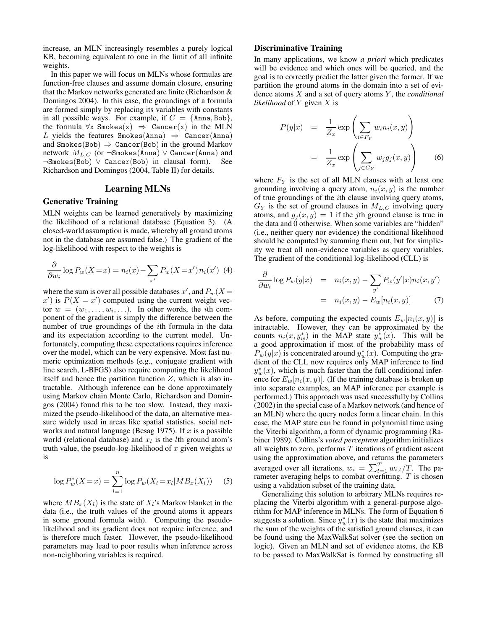increase, an MLN increasingly resembles a purely logical KB, becoming equivalent to one in the limit of all infinite weights.

In this paper we will focus on MLNs whose formulas are function-free clauses and assume domain closure, ensuring that the Markov networks generated are finite (Richardson & Domingos 2004). In this case, the groundings of a formula are formed simply by replacing its variables with constants in all possible ways. For example, if  $C = \{\text{Anna}, \text{Bob}\},\$ the formula  $\forall x$  Smokes(x)  $\Rightarrow$  Cancer(x) in the MLN L yields the features Smokes(Anna)  $\Rightarrow$  Cancer(Anna) and Smokes(Bob)  $\Rightarrow$  Cancer(Bob) in the ground Markov network  $M_{L,C}$  (or ¬Smokes(Anna)  $\vee$  Cancer(Anna) and ¬Smokes(Bob) ∨ Cancer(Bob) in clausal form). See Richardson and Domingos (2004, Table II) for details.

### **Learning MLNs**

### **Generative Training**

MLN weights can be learned generatively by maximizing the likelihood of a relational database (Equation 3). (A closed-world assumption is made, whereby all ground atoms not in the database are assumed false.) The gradient of the log-likelihood with respect to the weights is

$$
\frac{\partial}{\partial w_i} \log P_w(X = x) = n_i(x) - \sum_{x'} P_w(X = x') n_i(x') \tag{4}
$$

where the sum is over all possible databases  $x'$ , and  $P_w(X =$  $x'$ ) is  $P(X = x')$  computed using the current weight vector  $w = (w_1, \ldots, w_i, \ldots)$ . In other words, the *i*th component of the gradient is simply the difference between the number of true groundings of the ith formula in the data and its expectation according to the current model. Unfortunately, computing these expectations requires inference over the model, which can be very expensive. Most fast numeric optimization methods (e.g., conjugate gradient with line search, L-BFGS) also require computing the likelihood itself and hence the partition function  $Z$ , which is also intractable. Although inference can be done approximately using Markov chain Monte Carlo, Richardson and Domingos (2004) found this to be too slow. Instead, they maximized the pseudo-likelihood of the data, an alternative measure widely used in areas like spatial statistics, social networks and natural language (Besag 1975). If  $x$  is a possible world (relational database) and  $x_l$  is the *l*th ground atom's truth value, the pseudo-log-likelihood of  $x$  given weights  $w$ is

$$
\log P_w^*(X = x) = \sum_{l=1}^n \log P_w(X_l = x_l | MB_x(X_l)) \quad (5)
$$

where  $MB_x(X_l)$  is the state of  $X_l$ 's Markov blanket in the data (i.e., the truth values of the ground atoms it appears in some ground formula with). Computing the pseudolikelihood and its gradient does not require inference, and is therefore much faster. However, the pseudo-likelihood parameters may lead to poor results when inference across non-neighboring variables is required.

#### **Discriminative Training**

In many applications, we know *a priori* which predicates will be evidence and which ones will be queried, and the goal is to correctly predict the latter given the former. If we partition the ground atoms in the domain into a set of evidence atoms X and a set of query atoms Y , the *conditional likelihood* of Y given X is

$$
P(y|x) = \frac{1}{Z_x} \exp\left(\sum_{i \in F_Y} w_i n_i(x, y)\right)
$$

$$
= \frac{1}{Z_x} \exp\left(\sum_{j \in G_Y} w_j g_j(x, y)\right)
$$
(6)

where  $F_Y$  is the set of all MLN clauses with at least one grounding involving a query atom,  $n_i(x, y)$  is the number of true groundings of the ith clause involving query atoms,  $G_Y$  is the set of ground clauses in  $M_{L,C}$  involving query atoms, and  $g_i(x, y) = 1$  if the jth ground clause is true in the data and 0 otherwise. When some variables are "hidden" (i.e., neither query nor evidence) the conditional likelihood should be computed by summing them out, but for simplicity we treat all non-evidence variables as query variables. The gradient of the conditional log-likelihood (CLL) is

$$
\frac{\partial}{\partial w_i} \log P_w(y|x) = n_i(x, y) - \sum_{y'} P_w(y'|x) n_i(x, y')
$$

$$
= n_i(x, y) - E_w[n_i(x, y)] \tag{7}
$$

As before, computing the expected counts  $E_w[n_i(x, y)]$  is intractable. However, they can be approximated by the counts  $n_i(x, y_w^*)$  in the MAP state  $y_w^*(x)$ . This will be a good approximation if most of the probability mass of  $P_w(y|x)$  is concentrated around  $y_w^*(x)$ . Computing the gradient of the CLL now requires only MAP inference to find  $y_w^*(x)$ , which is much faster than the full conditional inference for  $E_w[n_i(x, y)]$ . (If the training database is broken up into separate examples, an MAP inference per example is performed.) This approach was used successfully by Collins (2002) in the special case of a Markov network (and hence of an MLN) where the query nodes form a linear chain. In this case, the MAP state can be found in polynomial time using the Viterbi algorithm, a form of dynamic programming (Rabiner 1989). Collins's *voted perceptron* algorithm initializes all weights to zero, performs  $T$  iterations of gradient ascent using the approximation above, and returns the parameters averaged over all iterations,  $w_i = \sum_{t=1}^{T} w_{i,t}/T$ . The parameter averaging helps to combat overfitting.  $T$  is chosen using a validation subset of the training data.

Generalizing this solution to arbitrary MLNs requires replacing the Viterbi algorithm with a general-purpose algorithm for MAP inference in MLNs. The form of Equation 6 suggests a solution. Since  $y_w^*(x)$  is the state that maximizes the sum of the weights of the satisfied ground clauses, it can be found using the MaxWalkSat solver (see the section on logic). Given an MLN and set of evidence atoms, the KB to be passed to MaxWalkSat is formed by constructing all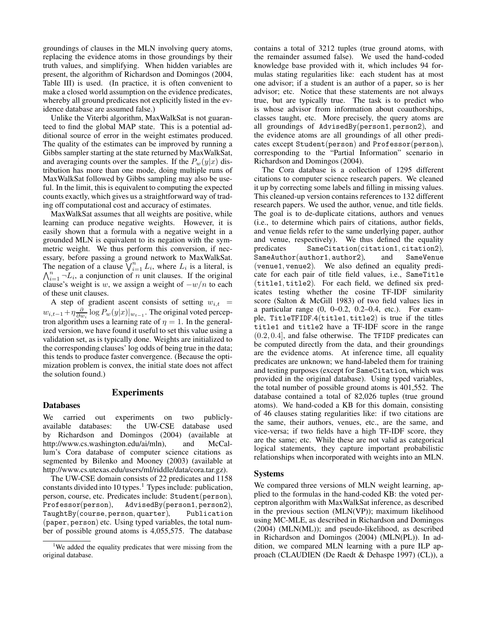groundings of clauses in the MLN involving query atoms, replacing the evidence atoms in those groundings by their truth values, and simplifying. When hidden variables are present, the algorithm of Richardson and Domingos (2004, Table III) is used. (In practice, it is often convenient to make a closed world assumption on the evidence predicates, whereby all ground predicates not explicitly listed in the evidence database are assumed false.)

Unlike the Viterbi algorithm, MaxWalkSat is not guaranteed to find the global MAP state. This is a potential additional source of error in the weight estimates produced. The quality of the estimates can be improved by running a Gibbs sampler starting at the state returned by MaxWalkSat, and averaging counts over the samples. If the  $P_w(y|x)$  distribution has more than one mode, doing multiple runs of MaxWalkSat followed by Gibbs sampling may also be useful. In the limit, this is equivalent to computing the expected counts exactly, which gives us a straightforward way of trading off computational cost and accuracy of estimates.

MaxWalkSat assumes that all weights are positive, while learning can produce negative weights. However, it is easily shown that a formula with a negative weight in a grounded MLN is equivalent to its negation with the symmetric weight. We thus perform this conversion, if necessary, before passing a ground network to MaxWalkSat. The negation of a clause  $\bigvee_{i=1}^{n} L_i$ , where  $L_i$  is a literal, is  $\bigwedge_{i=1}^{n} \neg L_i$ , a conjunction of n unit clauses. If the original clause's weight is w, we assign a weight of  $-w/n$  to each of these unit clauses.

A step of gradient ascent consists of setting  $w_{i,t}$  =  $w_{i,t-1} + \eta \frac{\partial}{\partial w_i} \log P_w(y|x)|_{w_{t-1}}$ . The original voted perceptron algorithm uses a learning rate of  $\eta = 1$ . In the generalized version, we have found it useful to set this value using a validation set, as is typically done. Weights are initialized to the corresponding clauses' log odds of being true in the data; this tends to produce faster convergence. (Because the optimization problem is convex, the initial state does not affect the solution found.)

### **Experiments**

#### **Databases**

We carried out experiments on two publiclyavailable databases: the UW-CSE database used by Richardson and Domingos (2004) (available at http://www.cs.washington.edu/ai/mln), and McCallum's Cora database of computer science citations as segmented by Bilenko and Mooney (2003) (available at http://www.cs.utexas.edu/users/ml/riddle/data/cora.tar.gz).

The UW-CSE domain consists of 22 predicates and 1158 constants divided into 10 types.<sup>1</sup> Types include: publication, person, course, etc. Predicates include: Student(person), Professor(person), AdvisedBy(person1, person2), TaughtBy(course, person, quarter), Publication (paper, person) etc. Using typed variables, the total number of possible ground atoms is 4,055,575. The database

contains a total of 3212 tuples (true ground atoms, with the remainder assumed false). We used the hand-coded knowledge base provided with it, which includes 94 formulas stating regularities like: each student has at most one advisor; if a student is an author of a paper, so is her advisor; etc. Notice that these statements are not always true, but are typically true. The task is to predict who is whose advisor from information about coauthorships, classes taught, etc. More precisely, the query atoms are all groundings of AdvisedBy(person1, person2), and the evidence atoms are all groundings of all other predicates except Student(person) and Professor(person), corresponding to the "Partial Information" scenario in Richardson and Domingos (2004).

The Cora database is a collection of 1295 different citations to computer science research papers. We cleaned it up by correcting some labels and filling in missing values. This cleaned-up version contains references to 132 different research papers. We used the author, venue, and title fields. The goal is to de-duplicate citations, authors and venues (i.e., to determine which pairs of citations, author fields, and venue fields refer to the same underlying paper, author and venue, respectively). We thus defined the equality predicates SameCitation(citation1, citation2), SameAuthor(author1, author2), and SameVenue (venue1, venue2). We also defined an equality predicate for each pair of title field values, i.e., SameTitle (title1, title2). For each field, we defined six predicates testing whether the cosine TF-IDF similarity score (Salton & McGill 1983) of two field values lies in a particular range (0, 0–0.2, 0.2–0.4, etc.). For example, TitleTFIDF.4(title1, title2) is true if the titles title1 and title2 have a TF-IDF score in the range (0.2, 0.4], and false otherwise. The TFIDF predicates can be computed directly from the data, and their groundings are the evidence atoms. At inference time, all equality predicates are unknown; we hand-labeled them for training and testing purposes (except for SameCitation, which was provided in the original database). Using typed variables, the total number of possible ground atoms is 401,552. The database contained a total of 82,026 tuples (true ground atoms). We hand-coded a KB for this domain, consisting of 46 clauses stating regularities like: if two citations are the same, their authors, venues, etc., are the same, and vice-versa; if two fields have a high TF-IDF score, they are the same; etc. While these are not valid as categorical logical statements, they capture important probabilistic relationships when incorporated with weights into an MLN.

#### **Systems**

We compared three versions of MLN weight learning, applied to the formulas in the hand-coded KB: the voted perceptron algorithm with MaxWalkSat inference, as described in the previous section (MLN(VP)); maximum likelihood using MC-MLE, as described in Richardson and Domingos (2004) (MLN(ML)); and pseudo-likelihood, as described in Richardson and Domingos (2004) (MLN(PL)). In addition, we compared MLN learning with a pure ILP approach (CLAUDIEN (De Raedt & Dehaspe 1997) (CL)), a

<sup>&</sup>lt;sup>1</sup>We added the equality predicates that were missing from the original database.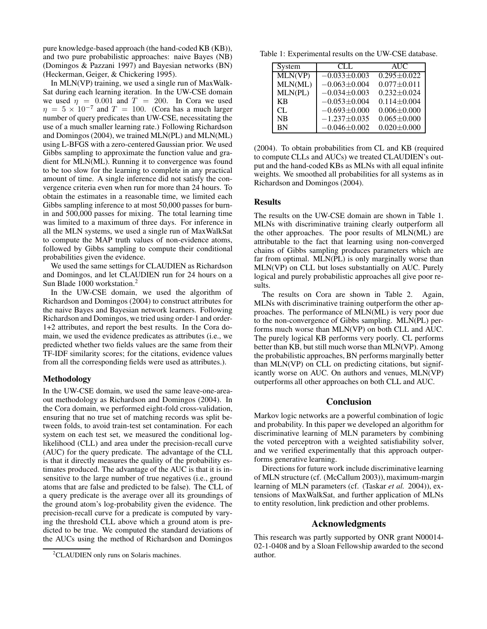pure knowledge-based approach (the hand-coded KB (KB)), and two pure probabilistic approaches: naive Bayes (NB) (Domingos & Pazzani 1997) and Bayesian networks (BN) (Heckerman, Geiger, & Chickering 1995).

In MLN(VP) training, we used a single run of MaxWalk-Sat during each learning iteration. In the UW-CSE domain we used  $\eta = 0.001$  and  $T = 200$ . In Cora we used  $\eta = 5 \times 10^{-7}$  and  $T = 100$ . (Cora has a much larger number of query predicates than UW-CSE, necessitating the use of a much smaller learning rate.) Following Richardson and Domingos (2004), we trained MLN(PL) and MLN(ML) using L-BFGS with a zero-centered Gaussian prior. We used Gibbs sampling to approximate the function value and gradient for MLN(ML). Running it to convergence was found to be too slow for the learning to complete in any practical amount of time. A single inference did not satisfy the convergence criteria even when run for more than 24 hours. To obtain the estimates in a reasonable time, we limited each Gibbs sampling inference to at most 50,000 passes for burnin and 500,000 passes for mixing. The total learning time was limited to a maximum of three days. For inference in all the MLN systems, we used a single run of MaxWalkSat to compute the MAP truth values of non-evidence atoms, followed by Gibbs sampling to compute their conditional probabilities given the evidence.

We used the same settings for CLAUDIEN as Richardson and Domingos, and let CLAUDIEN run for 24 hours on a Sun Blade 1000 workstation.<sup>2</sup>

In the UW-CSE domain, we used the algorithm of Richardson and Domingos (2004) to construct attributes for the naive Bayes and Bayesian network learners. Following Richardson and Domingos, we tried using order-1 and order-1+2 attributes, and report the best results. In the Cora domain, we used the evidence predicates as attributes (i.e., we predicted whether two fields values are the same from their TF-IDF similarity scores; for the citations, evidence values from all the corresponding fields were used as attributes.).

### **Methodology**

In the UW-CSE domain, we used the same leave-one-areaout methodology as Richardson and Domingos (2004). In the Cora domain, we performed eight-fold cross-validation, ensuring that no true set of matching records was split between folds, to avoid train-test set contamination. For each system on each test set, we measured the conditional loglikelihood (CLL) and area under the precision-recall curve (AUC) for the query predicate. The advantage of the CLL is that it directly measures the quality of the probability estimates produced. The advantage of the AUC is that it is insensitive to the large number of true negatives (i.e., ground atoms that are false and predicted to be false). The CLL of a query predicate is the average over all its groundings of the ground atom's log-probability given the evidence. The precision-recall curve for a predicate is computed by varying the threshold CLL above which a ground atom is predicted to be true. We computed the standard deviations of the AUCs using the method of Richardson and Domingos

Table 1: Experimental results on the UW-CSE database.

| System    | CLL.               | <b>AUC</b>        |  |  |
|-----------|--------------------|-------------------|--|--|
| MLN(VP)   | $-0.033\pm0.003$   | $0.295 + 0.022$   |  |  |
| MLN(ML)   | $-0.063 \pm 0.004$ | $0.077 \pm 0.011$ |  |  |
| MLN(PL)   | $-0.034\pm0.003$   | $0.232 \pm 0.024$ |  |  |
| KB        | $-0.053 \pm 0.004$ | $0.114 \pm 0.004$ |  |  |
| CL.       | $-0.693 \pm 0.000$ | $0.006 \pm 0.000$ |  |  |
| <b>NB</b> | $-1.237\pm0.035$   | $0.065 \pm 0.000$ |  |  |
| <b>BN</b> | $-0.046 \pm 0.002$ | $0.020 \pm 0.000$ |  |  |

(2004). To obtain probabilities from CL and KB (required to compute CLLs and AUCs) we treated CLAUDIEN's output and the hand-coded KBs as MLNs with all equal infinite weights. We smoothed all probabilities for all systems as in Richardson and Domingos (2004).

#### **Results**

The results on the UW-CSE domain are shown in Table 1. MLNs with discriminative training clearly outperform all the other approaches. The poor results of MLN(ML) are attributable to the fact that learning using non-converged chains of Gibbs sampling produces parameters which are far from optimal. MLN(PL) is only marginally worse than MLN(VP) on CLL but loses substantially on AUC. Purely logical and purely probabilistic approaches all give poor results.

The results on Cora are shown in Table 2. Again, MLNs with discriminative training outperform the other approaches. The performance of MLN(ML) is very poor due to the non-convergence of Gibbs sampling. MLN(PL) performs much worse than MLN(VP) on both CLL and AUC. The purely logical KB performs very poorly. CL performs better than KB, but still much worse than MLN(VP). Among the probabilistic approaches, BN performs marginally better than MLN(VP) on CLL on predicting citations, but significantly worse on AUC. On authors and venues, MLN(VP) outperforms all other approaches on both CLL and AUC.

### **Conclusion**

Markov logic networks are a powerful combination of logic and probability. In this paper we developed an algorithm for discriminative learning of MLN parameters by combining the voted perceptron with a weighted satisfiability solver, and we verified experimentally that this approach outperforms generative learning.

Directions for future work include discriminative learning of MLN structure (cf. (McCallum 2003)), maximum-margin learning of MLN parameters (cf. (Taskar *et al.* 2004)), extensions of MaxWalkSat, and further application of MLNs to entity resolution, link prediction and other problems.

# **Acknowledgments**

This research was partly supported by ONR grant N00014- 02-1-0408 and by a Sloan Fellowship awarded to the second author.

<sup>&</sup>lt;sup>2</sup>CLAUDIEN only runs on Solaris machines.